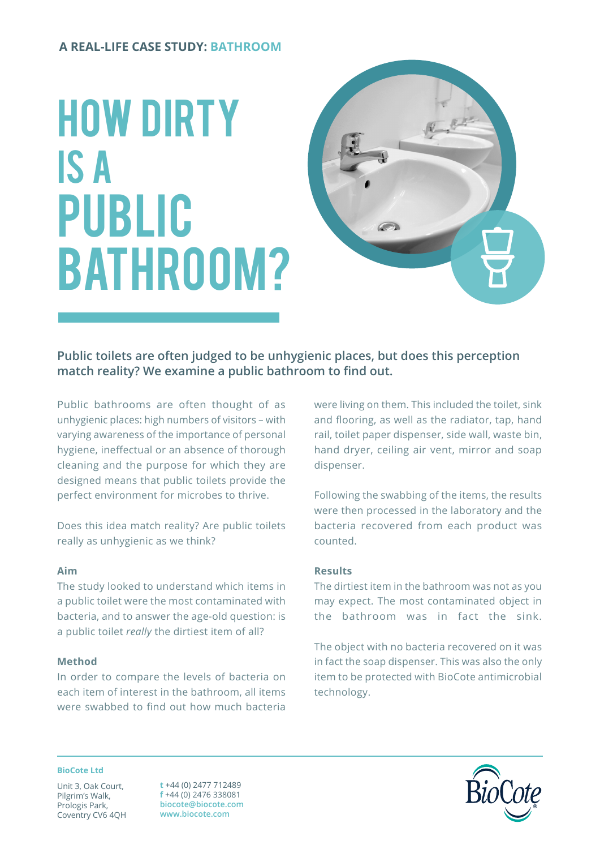# **A REAL-LIFE CASE STUDY: BATHROOM**

# HOW DIRTY IS A PUBLIC BATHROOM?



**Public toilets are often judged to be unhygienic places, but does this perception match reality? We examine a public bathroom to find out.**

Public bathrooms are often thought of as unhygienic places: high numbers of visitors – with varying awareness of the importance of personal hygiene, ineffectual or an absence of thorough cleaning and the purpose for which they are designed means that public toilets provide the perfect environment for microbes to thrive.

Does this idea match reality? Are public toilets really as unhygienic as we think?

## **Aim**

The study looked to understand which items in a public toilet were the most contaminated with bacteria, and to answer the age-old question: is a public toilet *really* the dirtiest item of all?

# **Method**

In order to compare the levels of bacteria on each item of interest in the bathroom, all items were swabbed to find out how much bacteria

were living on them. This included the toilet, sink and flooring, as well as the radiator, tap, hand rail, toilet paper dispenser, side wall, waste bin, hand dryer, ceiling air vent, mirror and soap dispenser.

Following the swabbing of the items, the results were then processed in the laboratory and the bacteria recovered from each product was counted.

## **Results**

The dirtiest item in the bathroom was not as you may expect. The most contaminated object in the bathroom was in fact the sink.

The object with no bacteria recovered on it was in fact the soap dispenser. This was also the only item to be protected with BioCote antimicrobial technology.

#### **BioCote Ltd**

Unit 3, Oak Court, Pilgrim's Walk, Prologis Park, Coventry CV6 4QH

**t** +44 (0) 2477 712489 **f** +44 (0) 2476 338081 **biocote@biocote.com www.biocote.com**